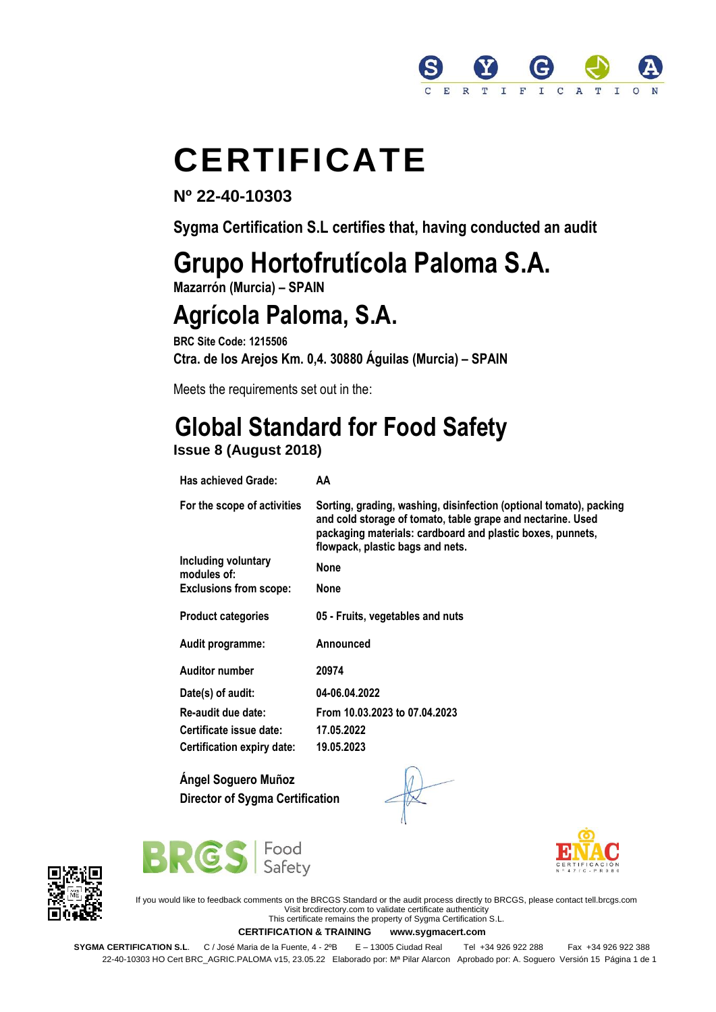

# **CERTIFICATE**

**Nº 22-40-10303**

**Sygma Certification S.L certifies that, having conducted an audit**

# **Grupo Hortofrutícola Paloma S.A.**

**Mazarrón (Murcia) – SPAIN** 

### **Agrícola Paloma, S.A.**

**BRC Site Code: 1215506 Ctra. de los Arejos Km. 0,4. 30880 Águilas (Murcia) – SPAIN** 

Meets the requirements set out in the:

# **Global Standard for Food Safety**

#### **Issue 8 (August 2018)**

| Has achieved Grade:                | AA                                                                                                                                                                                                                                  |
|------------------------------------|-------------------------------------------------------------------------------------------------------------------------------------------------------------------------------------------------------------------------------------|
| For the scope of activities        | Sorting, grading, washing, disinfection (optional tomato), packing<br>and cold storage of tomato, table grape and nectarine. Used<br>packaging materials: cardboard and plastic boxes, punnets,<br>flowpack, plastic bags and nets. |
| Including voluntary<br>modules of: | <b>None</b>                                                                                                                                                                                                                         |
| <b>Exclusions from scope:</b>      | None                                                                                                                                                                                                                                |
| <b>Product categories</b>          | 05 - Fruits, vegetables and nuts                                                                                                                                                                                                    |
| Audit programme:                   | Announced                                                                                                                                                                                                                           |
| <b>Auditor number</b>              | 20974                                                                                                                                                                                                                               |
| Date(s) of audit:                  | 04-06.04.2022                                                                                                                                                                                                                       |
| Re-audit due date:                 | From 10.03.2023 to 07.04.2023                                                                                                                                                                                                       |
| Certificate issue date:            | 17.05.2022                                                                                                                                                                                                                          |
| Certification expiry date:         | 19.05.2023                                                                                                                                                                                                                          |
|                                    |                                                                                                                                                                                                                                     |

**Ángel Soguero Muñoz Director of Sygma Certification**





If you would like to feedback comments on the BRCGS Standard or the audit process directly to BRCGS, please contact tell.brcgs.com Visit brcdirectory.com to validate certificate authenticity This certificate remains the property of Sygma Certification S.L.

**CERTIFICATION & TRAINING www.sygmacert.com** 

**SYGMA CERTIFICATION S.L.** C / José Maria de la Fuente, 4 - 2ºB E – 13005 Ciudad Real Tel +34 926 922 288 Fax +34 926 922 388 22-40-10303 HO Cert BRC\_AGRIC.PALOMA v15, 23.05.22 Elaborado por: Mª Pilar Alarcon Aprobado por: A. Soguero Versión 15 Página 1 de 1